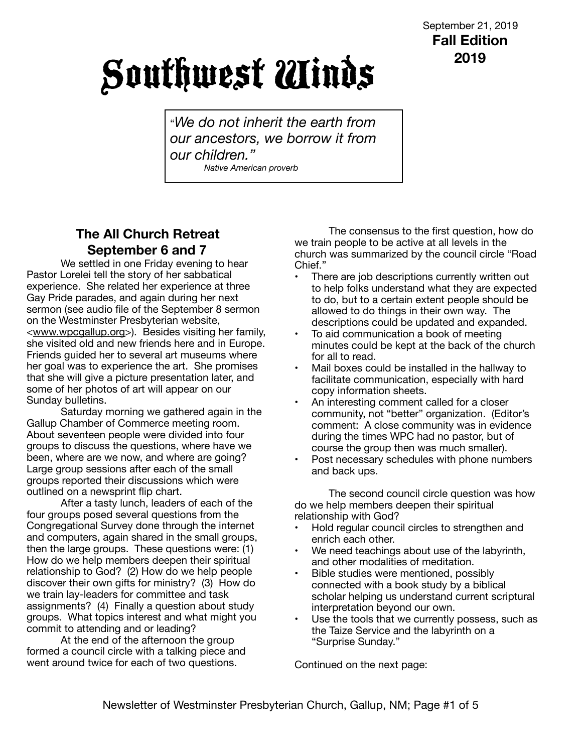# Southwest Winds

"*We do not inherit the earth from our ancestors, we borrow it from our children." Native American proverb*

# **The All Church Retreat September 6 and 7**

We settled in one Friday evening to hear Pastor Lorelei tell the story of her sabbatical experience. She related her experience at three Gay Pride parades, and again during her next sermon (see audio file of the September 8 sermon on the Westminster Presbyterian website, <[www.wpcgallup.org>](http://www.wpcgallup.org)). Besides visiting her family, she visited old and new friends here and in Europe. Friends guided her to several art museums where her goal was to experience the art. She promises that she will give a picture presentation later, and some of her photos of art will appear on our Sunday bulletins.

Saturday morning we gathered again in the Gallup Chamber of Commerce meeting room. About seventeen people were divided into four groups to discuss the questions, where have we been, where are we now, and where are going? Large group sessions after each of the small groups reported their discussions which were outlined on a newsprint flip chart.

After a tasty lunch, leaders of each of the four groups posed several questions from the Congregational Survey done through the internet and computers, again shared in the small groups, then the large groups. These questions were: (1) How do we help members deepen their spiritual relationship to God? (2) How do we help people discover their own gifts for ministry? (3) How do we train lay-leaders for committee and task assignments? (4) Finally a question about study groups. What topics interest and what might you commit to attending and or leading?

At the end of the afternoon the group formed a council circle with a talking piece and went around twice for each of two questions.

The consensus to the first question, how do we train people to be active at all levels in the church was summarized by the council circle "Road Chief."

- There are job descriptions currently written out to help folks understand what they are expected to do, but to a certain extent people should be allowed to do things in their own way. The descriptions could be updated and expanded.
- To aid communication a book of meeting minutes could be kept at the back of the church for all to read.
- Mail boxes could be installed in the hallway to facilitate communication, especially with hard copy information sheets.
- An interesting comment called for a closer community, not "better" organization. (Editor's comment: A close community was in evidence during the times WPC had no pastor, but of course the group then was much smaller).
- Post necessary schedules with phone numbers and back ups.

The second council circle question was how do we help members deepen their spiritual relationship with God?

- Hold regular council circles to strengthen and enrich each other.
- We need teachings about use of the labyrinth, and other modalities of meditation.
- Bible studies were mentioned, possibly connected with a book study by a biblical scholar helping us understand current scriptural interpretation beyond our own.
- Use the tools that we currently possess, such as the Taize Service and the labyrinth on a "Surprise Sunday."

Continued on the next page: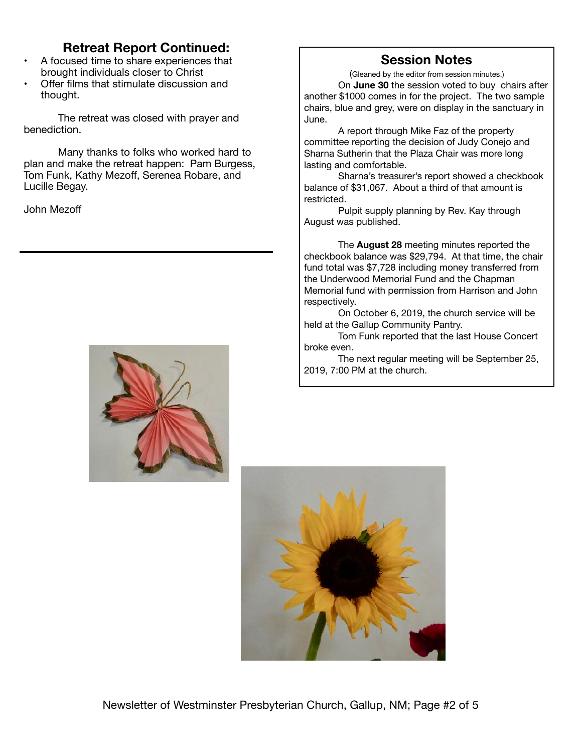## **Retreat Report Continued:**

- A focused time to share experiences that brought individuals closer to Christ
- Offer films that stimulate discussion and thought.

The retreat was closed with prayer and benediction.

Many thanks to folks who worked hard to plan and make the retreat happen: Pam Burgess, Tom Funk, Kathy Mezoff, Serenea Robare, and Lucille Begay.

John Mezoff



#### **Session Notes**

(Gleaned by the editor from session minutes.) On **June 30** the session voted to buy chairs after another \$1000 comes in for the project. The two sample chairs, blue and grey, were on display in the sanctuary in June.

A report through Mike Faz of the property committee reporting the decision of Judy Conejo and Sharna Sutherin that the Plaza Chair was more long lasting and comfortable.

Sharna's treasurer's report showed a checkbook balance of \$31,067. About a third of that amount is restricted.

Pulpit supply planning by Rev. Kay through August was published.

The **August 28** meeting minutes reported the checkbook balance was \$29,794. At that time, the chair fund total was \$7,728 including money transferred from the Underwood Memorial Fund and the Chapman Memorial fund with permission from Harrison and John respectively.

On October 6, 2019, the church service will be held at the Gallup Community Pantry.

Tom Funk reported that the last House Concert broke even.

The next regular meeting will be September 25, 2019, 7:00 PM at the church.

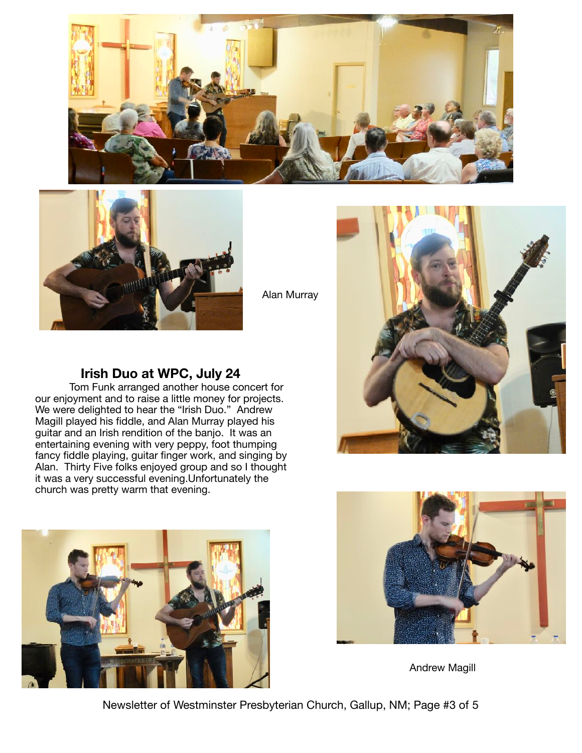



Alan Murray

#### **Irish Duo at WPC, July 24**

Tom Funk arranged another house concert for our enjoyment and to raise a little money for projects. We were delighted to hear the "Irish Duo." Andrew Magill played his fiddle, and Alan Murray played his guitar and an Irish rendition of the banjo. It was an entertaining evening with very peppy, foot thumping fancy fiddle playing, guitar finger work, and singing by Alan. Thirty Five folks enjoyed group and so I thought it was a very successful evening.Unfortunately the church was pretty warm that evening.







Andrew Magill

Newsletter of Westminster Presbyterian Church, Gallup, NM; Page #3 of 5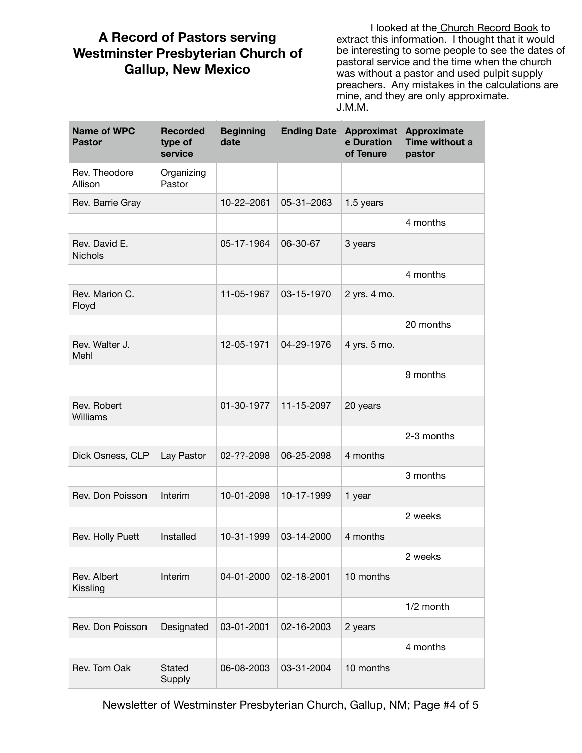## **A Record of Pastors serving Westminster Presbyterian Church of Gallup, New Mexico**

I looked at the Church Record Book to extract this information. I thought that it would be interesting to some people to see the dates of pastoral service and the time when the church was without a pastor and used pulpit supply preachers. Any mistakes in the calculations are mine, and they are only approximate. J.M.M.

| <b>Name of WPC</b><br><b>Pastor</b> | <b>Recorded</b><br>type of<br>service | <b>Beginning</b><br>date | <b>Ending Date</b> | <b>Approximat</b><br>e Duration<br>of Tenure | <b>Approximate</b><br>Time without a<br>pastor |
|-------------------------------------|---------------------------------------|--------------------------|--------------------|----------------------------------------------|------------------------------------------------|
| Rev. Theodore<br>Allison            | Organizing<br>Pastor                  |                          |                    |                                              |                                                |
| Rev. Barrie Gray                    |                                       | 10-22-2061               | 05-31-2063         | 1.5 years                                    |                                                |
|                                     |                                       |                          |                    |                                              | 4 months                                       |
| Rev. David E.<br><b>Nichols</b>     |                                       | 05-17-1964               | 06-30-67           | 3 years                                      |                                                |
|                                     |                                       |                          |                    |                                              | 4 months                                       |
| Rev. Marion C.<br>Floyd             |                                       | 11-05-1967               | 03-15-1970         | 2 yrs. 4 mo.                                 |                                                |
|                                     |                                       |                          |                    |                                              | 20 months                                      |
| Rev. Walter J.<br>Mehl              |                                       | 12-05-1971               | 04-29-1976         | 4 yrs. 5 mo.                                 |                                                |
|                                     |                                       |                          |                    |                                              | 9 months                                       |
| Rev. Robert<br>Williams             |                                       | 01-30-1977               | 11-15-2097         | 20 years                                     |                                                |
|                                     |                                       |                          |                    |                                              | 2-3 months                                     |
| Dick Osness, CLP                    | Lay Pastor                            | 02-??-2098               | 06-25-2098         | 4 months                                     |                                                |
|                                     |                                       |                          |                    |                                              | 3 months                                       |
| Rev. Don Poisson                    | Interim                               | 10-01-2098               | 10-17-1999         | 1 year                                       |                                                |
|                                     |                                       |                          |                    |                                              | 2 weeks                                        |
| Rev. Holly Puett                    | Installed                             | 10-31-1999               | 03-14-2000         | 4 months                                     |                                                |
|                                     |                                       |                          |                    |                                              | 2 weeks                                        |
| Rev. Albert<br>Kissling             | Interim                               | 04-01-2000               | 02-18-2001         | 10 months                                    |                                                |
|                                     |                                       |                          |                    |                                              | 1/2 month                                      |
| Rev. Don Poisson                    | Designated                            | 03-01-2001               | 02-16-2003         | 2 years                                      |                                                |
|                                     |                                       |                          |                    |                                              | 4 months                                       |
| Rev. Tom Oak                        | <b>Stated</b><br>Supply               | 06-08-2003               | 03-31-2004         | 10 months                                    |                                                |

Newsletter of Westminster Presbyterian Church, Gallup, NM; Page #4 of 5